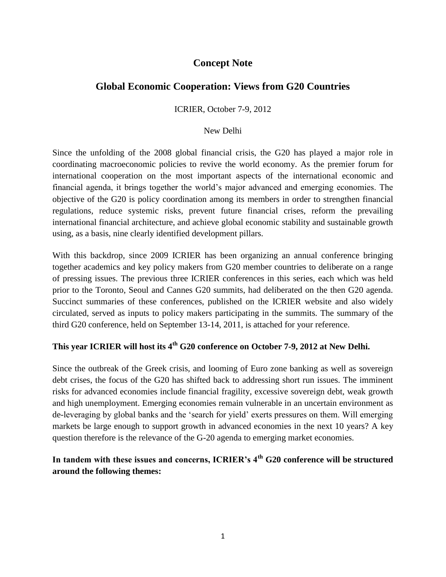## **Concept Note**

## **Global Economic Cooperation: Views from G20 Countries**

ICRIER, October 7-9, 2012

## New Delhi

Since the unfolding of the 2008 global financial crisis, the G20 has played a major role in coordinating macroeconomic policies to revive the world economy. As the premier forum for international cooperation on the most important aspects of the international economic and financial agenda, it brings together the world's major advanced and emerging economies. The objective of the G20 is policy coordination among its [members i](http://www.g20mexico.org/en/g20/members)n order to strengthen financial regulations, reduce systemic risks, prevent future financial crises, reform the prevailing international financial architecture, and achieve global economic stability and sustainable growth using, as a basis, nine clearly identified development pillars.

With this backdrop, since 2009 ICRIER has been organizing an annual conference bringing together academics and key policy makers from G20 member countries to deliberate on a range of pressing issues. The previous three ICRIER conferences in this series, each which was held prior to the Toronto, Seoul and Cannes G20 summits, had deliberated on the then G20 agenda. Succinct summaries of these conferences, published on the ICRIER website and also widely circulated, served as inputs to policy makers participating in the summits. The summary of the third G20 conference, held on September 13-14, 2011, is attached for your reference.

# **This year ICRIER will host its 4th G20 conference on October 7-9, 2012 at New Delhi.**

Since the outbreak of the Greek crisis, and looming of Euro zone banking as well as sovereign debt crises, the focus of the G20 has shifted back to addressing short run issues. The imminent risks for advanced economies include financial fragility, excessive sovereign debt, weak growth and high unemployment. Emerging economies remain vulnerable in an uncertain environment as de-leveraging by global banks and the 'search for yield' exerts pressures on them. Will emerging markets be large enough to support growth in advanced economies in the next 10 years? A key question therefore is the relevance of the G-20 agenda to emerging market economies.

## **In tandem with these issues and concerns, ICRIER's 4th G20 conference will be structured around the following themes:**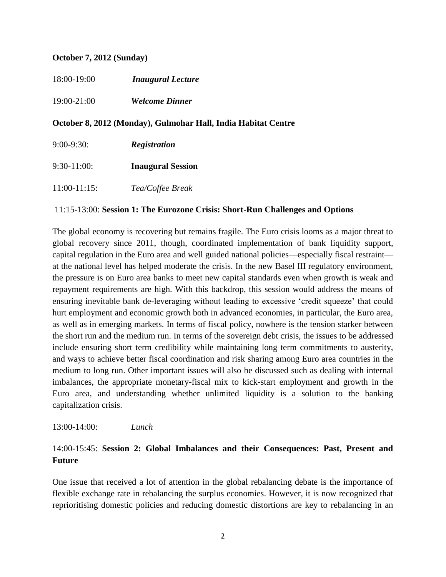#### **October 7, 2012 (Sunday)**

| 18:00-19:00 | <b>Inaugural Lecture</b> |
|-------------|--------------------------|
| 19:00-21:00 | <b>Welcome Dinner</b>    |

## **October 8, 2012 (Monday), Gulmohar Hall, India Habitat Centre**

| $9:00-9:30:$    | <b>Registration</b>      |  |
|-----------------|--------------------------|--|
| $9:30-11:00:$   | <b>Inaugural Session</b> |  |
| $11:00-11:15$ : | Tea/Coffee Break         |  |

### 11:15-13:00: **Session 1: The Eurozone Crisis: Short-Run Challenges and Options**

The global economy is recovering but remains fragile. The Euro crisis looms as a major threat to global recovery since 2011, though, coordinated implementation of bank liquidity support, capital regulation in the Euro area and well guided national policies—especially fiscal restraint at the national level has helped moderate the crisis. In the new Basel III regulatory environment, the pressure is on Euro area banks to meet new capital standards even when growth is weak and repayment requirements are high. With this backdrop, this session would address the means of ensuring inevitable bank de-leveraging without leading to excessive 'credit squeeze' that could hurt employment and economic growth both in advanced economies, in particular, the Euro area, as well as in emerging markets. In terms of fiscal policy, nowhere is the tension starker between the short run and the medium run. In terms of the sovereign debt crisis, the issues to be addressed include ensuring short term credibility while maintaining long term commitments to austerity, and ways to achieve better fiscal coordination and risk sharing among Euro area countries in the medium to long run. Other important issues will also be discussed such as dealing with internal imbalances, the appropriate monetary-fiscal mix to kick-start employment and growth in the Euro area, and understanding whether unlimited liquidity is a solution to the banking capitalization crisis.

#### 13:00-14:00: *Lunch*

## 14:00-15:45: **Session 2: Global Imbalances and their Consequences: Past, Present and Future**

One issue that received a lot of attention in the global rebalancing debate is the importance of flexible exchange rate in rebalancing the surplus economies. However, it is now recognized that reprioritising domestic policies and reducing domestic distortions are key to rebalancing in an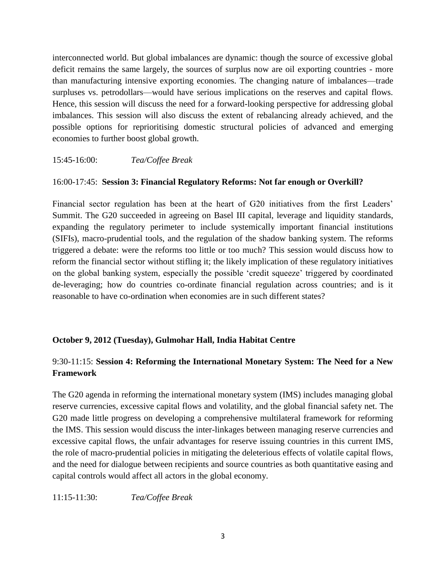interconnected world. But global imbalances are dynamic: though the source of excessive global deficit remains the same largely, the sources of surplus now are oil exporting countries - more than manufacturing intensive exporting economies. The changing nature of imbalances—trade surpluses vs. petrodollars—would have serious implications on the reserves and capital flows. Hence, this session will discuss the need for a forward-looking perspective for addressing global imbalances. This session will also discuss the extent of rebalancing already achieved, and the possible options for reprioritising domestic structural policies of advanced and emerging economies to further boost global growth.

15:45-16:00: *Tea/Coffee Break* 

### 16:00-17:45: **Session 3: Financial Regulatory Reforms: Not far enough or Overkill?**

Financial sector regulation has been at the heart of G20 initiatives from the first Leaders' Summit. The G20 succeeded in agreeing on Basel III capital, leverage and liquidity standards, expanding the regulatory perimeter to include systemically important financial institutions (SIFIs), macro-prudential tools, and the regulation of the shadow banking system. The reforms triggered a debate: were the reforms too little or too much? This session would discuss how to reform the financial sector without stifling it; the likely implication of these regulatory initiatives on the global banking system, especially the possible 'credit squeeze' triggered by coordinated de-leveraging; how do countries co-ordinate financial regulation across countries; and is it reasonable to have co-ordination when economies are in such different states?

### **October 9, 2012 (Tuesday), Gulmohar Hall, India Habitat Centre**

## 9:30-11:15: **Session 4: Reforming the International Monetary System: The Need for a New Framework**

The G20 agenda in reforming the international monetary system (IMS) includes managing global reserve currencies, excessive capital flows and volatility, and the global financial safety net. The G20 made little progress on developing a comprehensive multilateral framework for reforming the IMS. This session would discuss the inter-linkages between managing reserve currencies and excessive capital flows, the unfair advantages for reserve issuing countries in this current IMS, the role of macro-prudential policies in mitigating the deleterious effects of volatile capital flows, and the need for dialogue between recipients and source countries as both quantitative easing and capital controls would affect all actors in the global economy.

11:15-11:30: *Tea/Coffee Break*